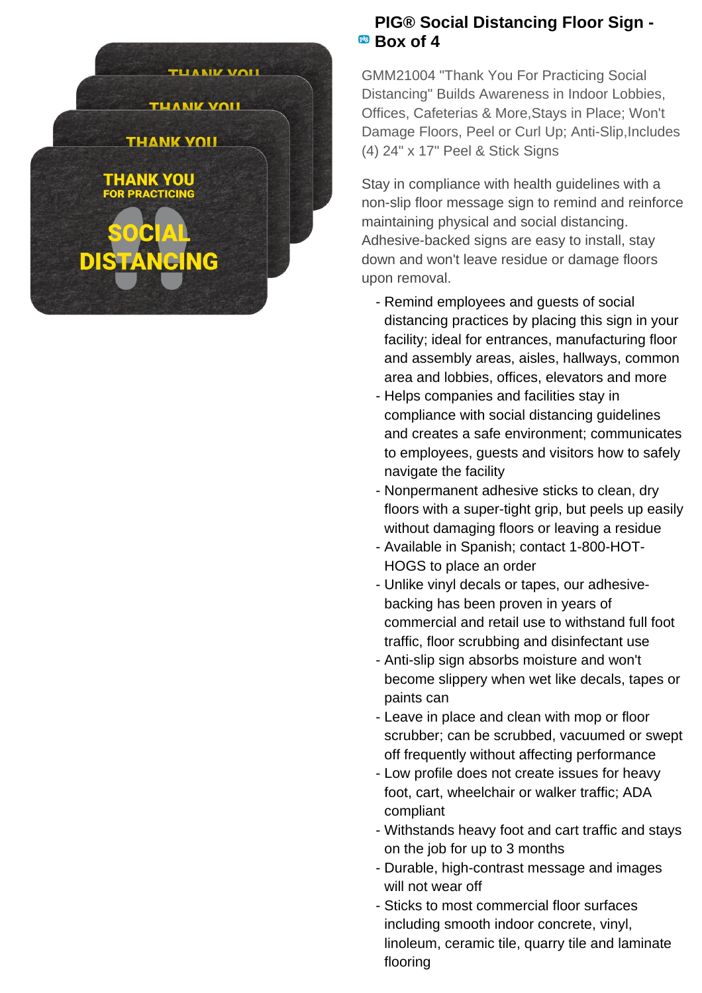

## **PIG® Social Distancing Floor Sign - Box of 4**

GMM21004 "Thank You For Practicing Social Distancing" Builds Awareness in Indoor Lobbies, Offices, Cafeterias & More,Stays in Place; Won't Damage Floors, Peel or Curl Up; Anti-Slip, Includes (4) 24" x 17" Peel & Stick Signs

Stay in compliance with health guidelines with a non-slip floor message sign to remind and reinforce maintaining physical and social distancing. Adhesive-backed signs are easy to install, stay down and won't leave residue or damage floors upon removal.

- Remind employees and guests of social distancing practices by placing this sign in your facility; ideal for entrances, manufacturing floor and assembly areas, aisles, hallways, common area and lobbies, offices, elevators and more
- Helps companies and facilities stay in compliance with social distancing guidelines and creates a safe environment; communicates to employees, guests and visitors how to safely navigate the facility
- Nonpermanent adhesive sticks to clean, dry floors with a super-tight grip, but peels up easily without damaging floors or leaving a residue
- Available in Spanish; contact 1-800-HOT-HOGS to place an order
- Unlike vinyl decals or tapes, our adhesive- backing has been proven in years of commercial and retail use to withstand full foot traffic, floor scrubbing and disinfectant use
- Anti-slip sign absorbs moisture and won't become slippery when wet like decals, tapes or paints can
- Leave in place and clean with mop or floor scrubber; can be scrubbed, vacuumed or swept off frequently without affecting performance
- Low profile does not create issues for heavy foot, cart, wheelchair or walker traffic; ADA compliant
- Withstands heavy foot and cart traffic and stays on the job for up to 3 months
- Durable, high-contrast message and images will not wear off
- Sticks to most commercial floor surfaces including smooth indoor concrete, vinyl, linoleum, ceramic tile, quarry tile and laminate flooring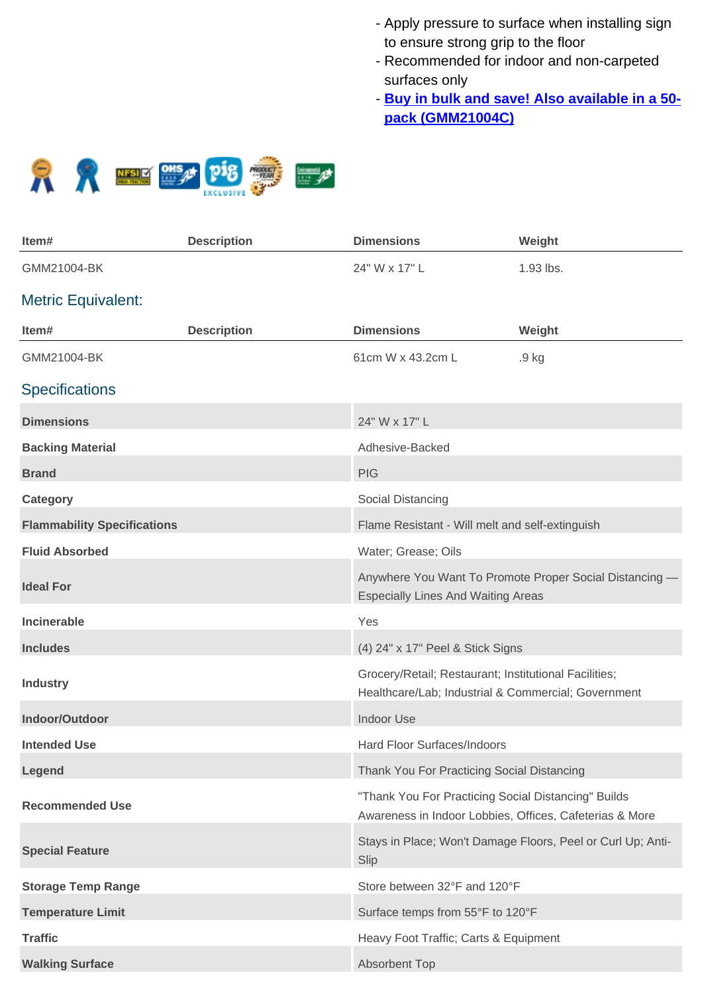- Apply pressure to surface when installing sign to ensure strong grip to the floor
- Recommended for indoor and non-carpeted surfaces only
- **Buy in bulk and save! Also available in a 50pack (GMM21004C)**



| Item#                              | <b>Description</b> | <b>Dimensions</b>                                                                                              | Weight                                                      |
|------------------------------------|--------------------|----------------------------------------------------------------------------------------------------------------|-------------------------------------------------------------|
| GMM21004-BK                        |                    | 24" W x 17" L                                                                                                  | 1.93 lbs.                                                   |
| <b>Metric Equivalent:</b>          |                    |                                                                                                                |                                                             |
| Item#                              | <b>Description</b> | <b>Dimensions</b>                                                                                              | Weight                                                      |
| GMM21004-BK                        |                    | 61cm W x 43.2cm L                                                                                              | .9 <sub>kg</sub>                                            |
| <b>Specifications</b>              |                    |                                                                                                                |                                                             |
| <b>Dimensions</b>                  |                    | 24" W x 17" L                                                                                                  |                                                             |
| <b>Backing Material</b>            |                    | Adhesive-Backed                                                                                                |                                                             |
| <b>Brand</b>                       |                    | <b>PIG</b>                                                                                                     |                                                             |
| <b>Category</b>                    |                    | Social Distancing                                                                                              |                                                             |
| <b>Flammability Specifications</b> |                    | Flame Resistant - Will melt and self-extinguish                                                                |                                                             |
| <b>Fluid Absorbed</b>              |                    | Water; Grease; Oils                                                                                            |                                                             |
| <b>Ideal For</b>                   |                    | <b>Especially Lines And Waiting Areas</b>                                                                      | Anywhere You Want To Promote Proper Social Distancing -     |
| Incinerable                        |                    | Yes                                                                                                            |                                                             |
| <b>Includes</b>                    |                    | (4) 24" x 17" Peel & Stick Signs                                                                               |                                                             |
| <b>Industry</b>                    |                    | Grocery/Retail; Restaurant; Institutional Facilities;<br>Healthcare/Lab; Industrial & Commercial; Government   |                                                             |
| Indoor/Outdoor                     |                    | <b>Indoor Use</b>                                                                                              |                                                             |
| <b>Intended Use</b>                |                    | Hard Floor Surfaces/Indoors                                                                                    |                                                             |
| Legend                             |                    | Thank You For Practicing Social Distancing                                                                     |                                                             |
| <b>Recommended Use</b>             |                    | "Thank You For Practicing Social Distancing" Builds<br>Awareness in Indoor Lobbies, Offices, Cafeterias & More |                                                             |
| <b>Special Feature</b>             |                    | Slip                                                                                                           | Stays in Place; Won't Damage Floors, Peel or Curl Up; Anti- |
| <b>Storage Temp Range</b>          |                    | Store between 32°F and 120°F                                                                                   |                                                             |
| <b>Temperature Limit</b>           |                    | Surface temps from 55°F to 120°F                                                                               |                                                             |
| <b>Traffic</b>                     |                    | Heavy Foot Traffic; Carts & Equipment                                                                          |                                                             |
| <b>Walking Surface</b>             |                    | <b>Absorbent Top</b>                                                                                           |                                                             |